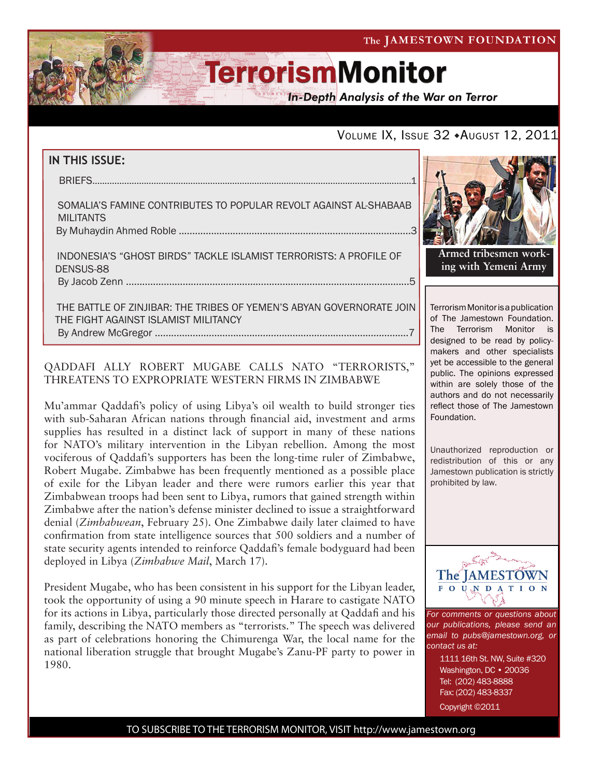**In-Depth Analysis of the War on Terror** 

### VOLUME IX, ISSUE 32 + AUGUST 12, 2011

#### **IN THIS ISSUE:**

briefs..................................................................................................................................1

 SOMALIA'S FAMINE CONTRIBUTEs TO POPULAR REVOLT AGAINST AL-SHABAAB **MILITANTS** By Muhaydin Ahmed Roble ......................................................................................3

 INDONESIA'S "GHOST BIRDS" TACKLE ISLAMIST TERRORISTS: A PROFILE OF DENSUS-88 by Jacob Zenn .........................................................................................................5

 THE BATTLE OF ZINJIBAR: THE TRIBES OF YEMEN'S ABYAN GOVERNORATE JOIN THE FIGHT AGAINST ISLAMIST MILITANCY By Andrew McGregor ..............................................................................................7

#### QADDAFI ALLY ROBERT MUGABE CALLS NATO "TERRORISTS," THREATENS TO EXPROPRIATE WESTERN FIRMS IN ZIMBABWE

Mu'ammar Qaddafi's policy of using Libya's oil wealth to build stronger ties with sub-Saharan African nations through financial aid, investment and arms supplies has resulted in a distinct lack of support in many of these nations for NATO's military intervention in the Libyan rebellion. Among the most vociferous of Qaddafi's supporters has been the long-time ruler of Zimbabwe, Robert Mugabe. Zimbabwe has been frequently mentioned as a possible place of exile for the Libyan leader and there were rumors earlier this year that Zimbabwean troops had been sent to Libya, rumors that gained strength within Zimbabwe after the nation's defense minister declined to issue a straightforward denial (*Zimbabwean*, February 25). One Zimbabwe daily later claimed to have confirmation from state intelligence sources that 500 soldiers and a number of state security agents intended to reinforce Qaddafi's female bodyguard had been deployed in Libya (*Zimbabwe Mail*, March 17).

President Mugabe, who has been consistent in his support for the Libyan leader, took the opportunity of using a 90 minute speech in Harare to castigate NATO for its actions in Libya, particularly those directed personally at Qaddafi and his family, describing the NATO members as "terrorists." The speech was delivered as part of celebrations honoring the Chimurenga War, the local name for the national liberation struggle that brought Mugabe's Zanu-PF party to power in 1980.



**Armed tribesmen working with Yemeni Army**

Terrorism Monitor is a publication of The Jamestown Foundation. The Terrorism Monitor is designed to be read by policymakers and other specialists yet be accessible to the general public. The opinions expressed within are solely those of the authors and do not necessarily reflect those of The Jamestown Foundation.

Unauthorized reproduction or redistribution of this or any Jamestown publication is strictly prohibited by law.



*For comments or questions about our publications, please send an email to pubs@jamestown.org, or contact us at:* 

1111 16th St. NW, Suite #320 Washington, DC • 20036 Tel: (202) 483-8888 Fax: (202) 483-8337

Copyright ©2011

TO SUBSCRIBE TO THE TERRORISM MONITOR, VISIT http://www.jamestown.org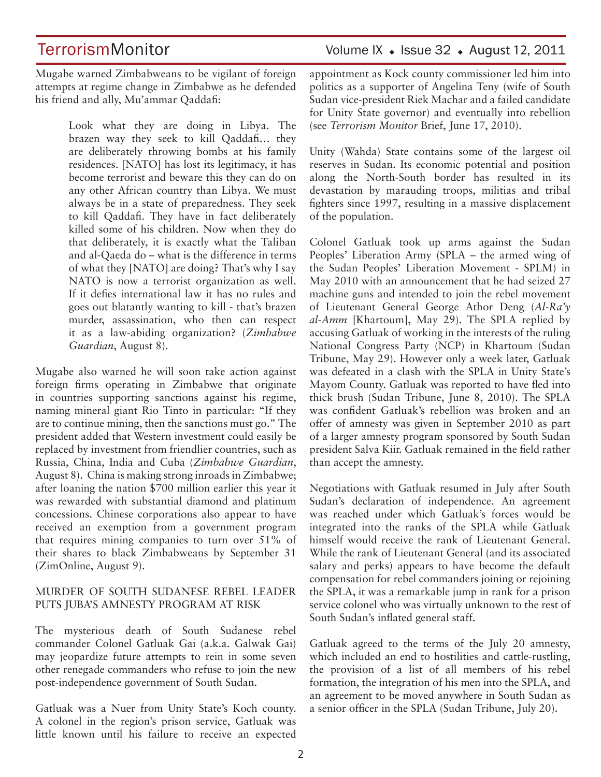Mugabe warned Zimbabweans to be vigilant of foreign attempts at regime change in Zimbabwe as he defended his friend and ally, Mu'ammar Qaddafi:

> Look what they are doing in Libya. The brazen way they seek to kill Qaddafi… they are deliberately throwing bombs at his family residences. [NATO] has lost its legitimacy, it has become terrorist and beware this they can do on any other African country than Libya. We must always be in a state of preparedness. They seek to kill Qaddafi. They have in fact deliberately killed some of his children. Now when they do that deliberately, it is exactly what the Taliban and al-Qaeda do – what is the difference in terms of what they [NATO] are doing? That's why I say NATO is now a terrorist organization as well. If it defies international law it has no rules and goes out blatantly wanting to kill - that's brazen murder, assassination, who then can respect it as a law-abiding organization? (*Zimbabwe Guardian*, August 8).

Mugabe also warned he will soon take action against foreign firms operating in Zimbabwe that originate in countries supporting sanctions against his regime, naming mineral giant Rio Tinto in particular: "If they are to continue mining, then the sanctions must go." The president added that Western investment could easily be replaced by investment from friendlier countries, such as Russia, China, India and Cuba (*Zimbabwe Guardian*, August 8). China is making strong inroads in Zimbabwe; after loaning the nation \$700 million earlier this year it was rewarded with substantial diamond and platinum concessions. Chinese corporations also appear to have received an exemption from a government program that requires mining companies to turn over 51% of their shares to black Zimbabweans by September 31 (ZimOnline, August 9).

#### MURDER OF SOUTH SUDANESE REBEL LEADER PUTS JUBA'S AMNESTY PROGRAM AT RISK

The mysterious death of South Sudanese rebel commander Colonel Gatluak Gai (a.k.a. Galwak Gai) may jeopardize future attempts to rein in some seven other renegade commanders who refuse to join the new post-independence government of South Sudan.

Gatluak was a Nuer from Unity State's Koch county. A colonel in the region's prison service, Gatluak was little known until his failure to receive an expected appointment as Kock county commissioner led him into politics as a supporter of Angelina Teny (wife of South Sudan vice-president Riek Machar and a failed candidate for Unity State governor) and eventually into rebellion (see *Terrorism Monitor* Brief, June 17, 2010).

Unity (Wahda) State contains some of the largest oil reserves in Sudan. Its economic potential and position along the North-South border has resulted in its devastation by marauding troops, militias and tribal fighters since 1997, resulting in a massive displacement of the population.

Colonel Gatluak took up arms against the Sudan Peoples' Liberation Army (SPLA – the armed wing of the Sudan Peoples' Liberation Movement - SPLM) in May 2010 with an announcement that he had seized 27 machine guns and intended to join the rebel movement of Lieutenant General George Athor Deng (*Al-Ra'y al-Amm* [Khartoum], May 29). The SPLA replied by accusing Gatluak of working in the interests of the ruling National Congress Party (NCP) in Khartoum (Sudan Tribune, May 29). However only a week later, Gatluak was defeated in a clash with the SPLA in Unity State's Mayom County. Gatluak was reported to have fled into thick brush (Sudan Tribune, June 8, 2010). The SPLA was confident Gatluak's rebellion was broken and an offer of amnesty was given in September 2010 as part of a larger amnesty program sponsored by South Sudan president Salva Kiir. Gatluak remained in the field rather than accept the amnesty.

Negotiations with Gatluak resumed in July after South Sudan's declaration of independence. An agreement was reached under which Gatluak's forces would be integrated into the ranks of the SPLA while Gatluak himself would receive the rank of Lieutenant General. While the rank of Lieutenant General (and its associated salary and perks) appears to have become the default compensation for rebel commanders joining or rejoining the SPLA, it was a remarkable jump in rank for a prison service colonel who was virtually unknown to the rest of South Sudan's inflated general staff.

Gatluak agreed to the terms of the July 20 amnesty, which included an end to hostilities and cattle-rustling, the provision of a list of all members of his rebel formation, the integration of his men into the SPLA, and an agreement to be moved anywhere in South Sudan as a senior officer in the SPLA (Sudan Tribune, July 20).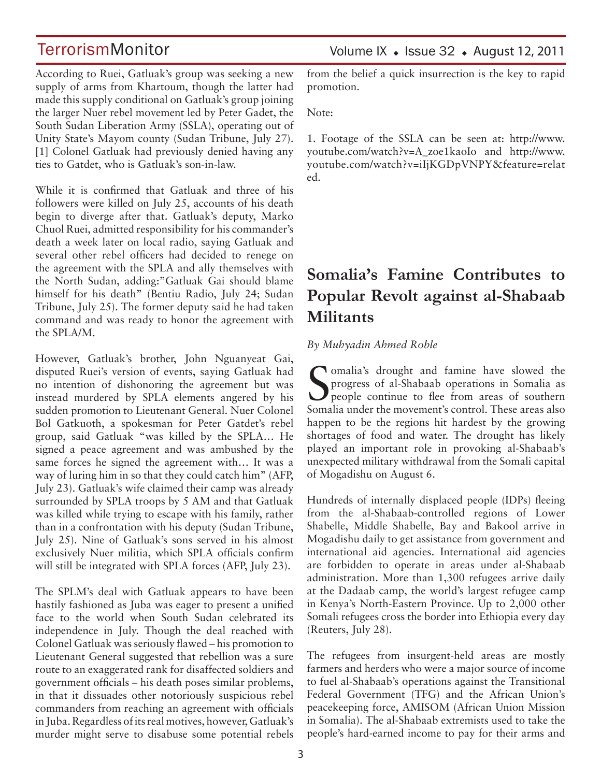Volume IX  $\bullet$  Issue 32  $\bullet$  August 12, 2011

According to Ruei, Gatluak's group was seeking a new supply of arms from Khartoum, though the latter had made this supply conditional on Gatluak's group joining the larger Nuer rebel movement led by Peter Gadet, the South Sudan Liberation Army (SSLA), operating out of Unity State's Mayom county (Sudan Tribune, July 27). [1] Colonel Gatluak had previously denied having any ties to Gatdet, who is Gatluak's son-in-law.

While it is confirmed that Gatluak and three of his followers were killed on July 25, accounts of his death begin to diverge after that. Gatluak's deputy, Marko Chuol Ruei, admitted responsibility for his commander's death a week later on local radio, saying Gatluak and several other rebel officers had decided to renege on the agreement with the SPLA and ally themselves with the North Sudan, adding:"Gatluak Gai should blame himself for his death" (Bentiu Radio, July 24; Sudan Tribune, July 25). The former deputy said he had taken command and was ready to honor the agreement with the SPLA/M.

However, Gatluak's brother, John Nguanyeat Gai, disputed Ruei's version of events, saying Gatluak had no intention of dishonoring the agreement but was instead murdered by SPLA elements angered by his sudden promotion to Lieutenant General. Nuer Colonel Bol Gatkuoth, a spokesman for Peter Gatdet's rebel group, said Gatluak "was killed by the SPLA… He signed a peace agreement and was ambushed by the same forces he signed the agreement with… It was a way of luring him in so that they could catch him" (AFP, July 23). Gatluak's wife claimed their camp was already surrounded by SPLA troops by 5 AM and that Gatluak was killed while trying to escape with his family, rather than in a confrontation with his deputy (Sudan Tribune, July 25). Nine of Gatluak's sons served in his almost exclusively Nuer militia, which SPLA officials confirm will still be integrated with SPLA forces (AFP, July 23).

The SPLM's deal with Gatluak appears to have been hastily fashioned as Juba was eager to present a unified face to the world when South Sudan celebrated its independence in July. Though the deal reached with Colonel Gatluak was seriously flawed – his promotion to Lieutenant General suggested that rebellion was a sure route to an exaggerated rank for disaffected soldiers and government officials – his death poses similar problems, in that it dissuades other notoriously suspicious rebel commanders from reaching an agreement with officials in Juba. Regardless of its real motives, however, Gatluak's murder might serve to disabuse some potential rebels from the belief a quick insurrection is the key to rapid promotion.

Note:

1. Footage of the SSLA can be seen at: http://www. youtube.com/watch?v=A\_zoe1kaoIo and http://www. youtube.com/watch?v=iIjKGDpVNPY&feature=relat ed.

# **Somalia's Famine Contributes to Popular Revolt against al-Shabaab Militants**

#### *By Muhyadin Ahmed Roble*

Somalia's drought and famine have slowed the<br>progress of al-Shabaab operations in Somalia as<br>people continue to flee from areas of southern progress of al-Shabaab operations in Somalia as people continue to flee from areas of southern Somalia under the movement's control. These areas also happen to be the regions hit hardest by the growing shortages of food and water. The drought has likely played an important role in provoking al-Shabaab's unexpected military withdrawal from the Somali capital of Mogadishu on August 6.

Hundreds of internally displaced people (IDPs) fleeing from the al-Shabaab-controlled regions of Lower Shabelle, Middle Shabelle, Bay and Bakool arrive in Mogadishu daily to get assistance from government and international aid agencies. International aid agencies are forbidden to operate in areas under al-Shabaab administration. More than 1,300 refugees arrive daily at the Dadaab camp, the world's largest refugee camp in Kenya's North-Eastern Province. Up to 2,000 other Somali refugees cross the border into Ethiopia every day (Reuters, July 28).

The refugees from insurgent-held areas are mostly farmers and herders who were a major source of income to fuel al-Shabaab's operations against the Transitional Federal Government (TFG) and the African Union's peacekeeping force, AMISOM (African Union Mission in Somalia). The al-Shabaab extremists used to take the people's hard-earned income to pay for their arms and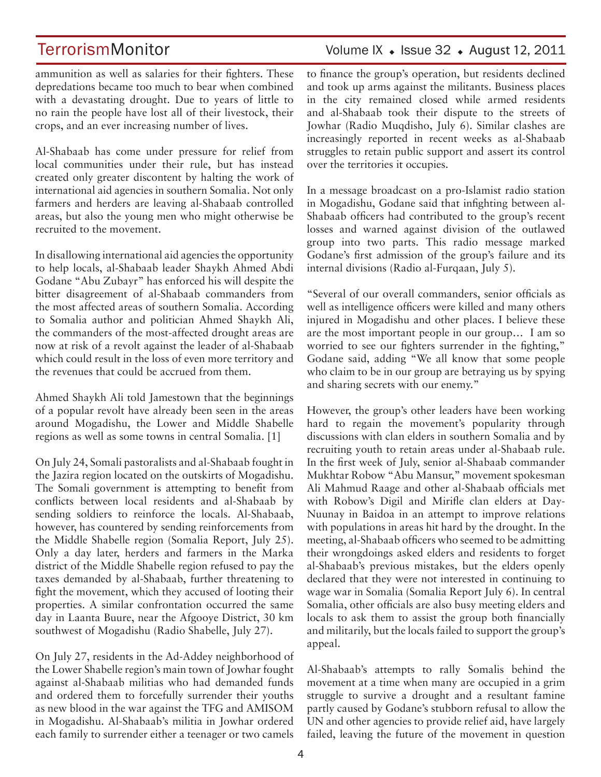ammunition as well as salaries for their fighters. These depredations became too much to bear when combined with a devastating drought. Due to years of little to no rain the people have lost all of their livestock, their crops, and an ever increasing number of lives.

Al-Shabaab has come under pressure for relief from local communities under their rule, but has instead created only greater discontent by halting the work of international aid agencies in southern Somalia. Not only farmers and herders are leaving al-Shabaab controlled areas, but also the young men who might otherwise be recruited to the movement.

In disallowing international aid agencies the opportunity to help locals, al-Shabaab leader Shaykh Ahmed Abdi Godane "Abu Zubayr" has enforced his will despite the bitter disagreement of al-Shabaab commanders from the most affected areas of southern Somalia. According to Somalia author and politician Ahmed Shaykh Ali, the commanders of the most-affected drought areas are now at risk of a revolt against the leader of al-Shabaab which could result in the loss of even more territory and the revenues that could be accrued from them.

Ahmed Shaykh Ali told Jamestown that the beginnings of a popular revolt have already been seen in the areas around Mogadishu, the Lower and Middle Shabelle regions as well as some towns in central Somalia. [1]

On July 24, Somali pastoralists and al-Shabaab fought in the Jazira region located on the outskirts of Mogadishu. The Somali government is attempting to benefit from conflicts between local residents and al-Shabaab by sending soldiers to reinforce the locals. Al-Shabaab, however, has countered by sending reinforcements from the Middle Shabelle region (Somalia Report, July 25). Only a day later, herders and farmers in the Marka district of the Middle Shabelle region refused to pay the taxes demanded by al-Shabaab, further threatening to fight the movement, which they accused of looting their properties. A similar confrontation occurred the same day in Laanta Buure, near the Afgooye District, 30 km southwest of Mogadishu (Radio Shabelle, July 27).

On July 27, residents in the Ad-Addey neighborhood of the Lower Shabelle region's main town of Jowhar fought against al-Shabaab militias who had demanded funds and ordered them to forcefully surrender their youths as new blood in the war against the TFG and AMISOM in Mogadishu. Al-Shabaab's militia in Jowhar ordered each family to surrender either a teenager or two camels to finance the group's operation, but residents declined and took up arms against the militants. Business places in the city remained closed while armed residents and al-Shabaab took their dispute to the streets of Jowhar (Radio Muqdisho, July 6). Similar clashes are increasingly reported in recent weeks as al-Shabaab struggles to retain public support and assert its control over the territories it occupies.

In a message broadcast on a pro-Islamist radio station in Mogadishu, Godane said that infighting between al-Shabaab officers had contributed to the group's recent losses and warned against division of the outlawed group into two parts. This radio message marked Godane's first admission of the group's failure and its internal divisions (Radio al-Furqaan, July 5).

"Several of our overall commanders, senior officials as well as intelligence officers were killed and many others injured in Mogadishu and other places. I believe these are the most important people in our group… I am so worried to see our fighters surrender in the fighting," Godane said, adding "We all know that some people who claim to be in our group are betraying us by spying and sharing secrets with our enemy."

However, the group's other leaders have been working hard to regain the movement's popularity through discussions with clan elders in southern Somalia and by recruiting youth to retain areas under al-Shabaab rule. In the first week of July, senior al-Shabaab commander Mukhtar Robow "Abu Mansur," movement spokesman Ali Mahmud Raage and other al-Shabaab officials met with Robow's Digil and Mirifle clan elders at Day-Nuunay in Baidoa in an attempt to improve relations with populations in areas hit hard by the drought. In the meeting, al-Shabaab officers who seemed to be admitting their wrongdoings asked elders and residents to forget al-Shabaab's previous mistakes, but the elders openly declared that they were not interested in continuing to wage war in Somalia (Somalia Report July 6). In central Somalia, other officials are also busy meeting elders and locals to ask them to assist the group both financially and militarily, but the locals failed to support the group's appeal.

Al-Shabaab's attempts to rally Somalis behind the movement at a time when many are occupied in a grim struggle to survive a drought and a resultant famine partly caused by Godane's stubborn refusal to allow the UN and other agencies to provide relief aid, have largely failed, leaving the future of the movement in question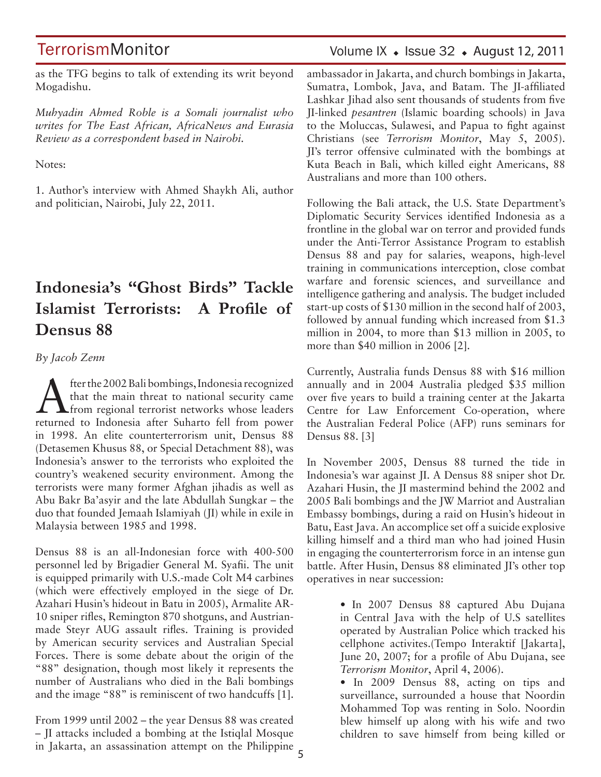### Volume IX  $\bullet$  Issue 32  $\bullet$  August 12, 2011

as the TFG begins to talk of extending its writ beyond Mogadishu.

*Muhyadin Ahmed Roble is a Somali journalist who writes for The East African, AfricaNews and Eurasia Review as a correspondent based in Nairobi.*

Notes:

1. Author's interview with Ahmed Shaykh Ali, author and politician, Nairobi, July 22, 2011.

# **Indonesia's "Ghost Birds" Tackle Islamist Terrorists: A Profile of Densus 88**

*By Jacob Zenn*

After the 2002 Bali bombings, Indonesia recognized<br>that the main threat to national security came<br>from regional terrorist networks whose leaders that the main threat to national security came from regional terrorist networks whose leaders returned to Indonesia after Suharto fell from power in 1998. An elite counterterrorism unit, Densus 88 (Detasemen Khusus 88, or Special Detachment 88), was Indonesia's answer to the terrorists who exploited the country's weakened security environment. Among the terrorists were many former Afghan jihadis as well as Abu Bakr Ba'asyir and the late Abdullah Sungkar – the duo that founded Jemaah Islamiyah (JI) while in exile in Malaysia between 1985 and 1998.

Densus 88 is an all-Indonesian force with 400-500 personnel led by Brigadier General M. Syafii. The unit is equipped primarily with U.S.-made Colt M4 carbines (which were effectively employed in the siege of Dr. Azahari Husin's hideout in Batu in 2005), Armalite AR-10 sniper rifles, Remington 870 shotguns, and Austrianmade Steyr AUG assault rifles. Training is provided by American security services and Australian Special Forces. There is some debate about the origin of the "88" designation, though most likely it represents the number of Australians who died in the Bali bombings and the image "88" is reminiscent of two handcuffs [1].

5 in Jakarta, an assassination attempt on the Philippine From 1999 until 2002 – the year Densus 88 was created – JI attacks included a bombing at the Istiqlal Mosque

ambassador in Jakarta, and church bombings in Jakarta, Sumatra, Lombok, Java, and Batam. The JI-affiliated Lashkar Jihad also sent thousands of students from five JI-linked *pesantren* (Islamic boarding schools) in Java to the Moluccas, Sulawesi, and Papua to fight against Christians (see *Terrorism Monitor*, May 5, 2005). JI's terror offensive culminated with the bombings at Kuta Beach in Bali, which killed eight Americans, 88 Australians and more than 100 others.

Following the Bali attack, the U.S. State Department's Diplomatic Security Services identified Indonesia as a frontline in the global war on terror and provided funds under the Anti-Terror Assistance Program to establish Densus 88 and pay for salaries, weapons, high-level training in communications interception, close combat warfare and forensic sciences, and surveillance and intelligence gathering and analysis. The budget included start-up costs of \$130 million in the second half of 2003, followed by annual funding which increased from \$1.3 million in 2004, to more than \$13 million in 2005, to more than \$40 million in 2006 [2].

Currently, Australia funds Densus 88 with \$16 million annually and in 2004 Australia pledged \$35 million over five years to build a training center at the Jakarta Centre for Law Enforcement Co-operation, where the Australian Federal Police (AFP) runs seminars for Densus 88. [3]

In November 2005, Densus 88 turned the tide in Indonesia's war against JI. A Densus 88 sniper shot Dr. Azahari Husin, the JI mastermind behind the 2002 and 2005 Bali bombings and the JW Marriot and Australian Embassy bombings, during a raid on Husin's hideout in Batu, East Java. An accomplice set off a suicide explosive killing himself and a third man who had joined Husin in engaging the counterterrorism force in an intense gun battle. After Husin, Densus 88 eliminated JI's other top operatives in near succession:

> • In 2007 Densus 88 captured Abu Dujana in Central Java with the help of U.S satellites operated by Australian Police which tracked his cellphone activites.(Tempo Interaktif [Jakarta], June 20, 2007; for a profile of Abu Dujana, see *Terrorism Monitor*, April 4, 2006).

> • In 2009 Densus 88, acting on tips and surveillance, surrounded a house that Noordin Mohammed Top was renting in Solo. Noordin blew himself up along with his wife and two children to save himself from being killed or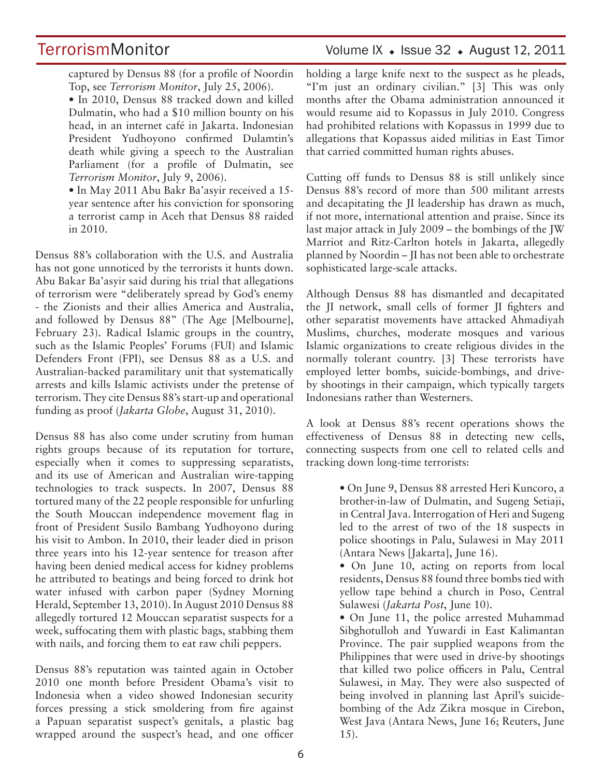captured by Densus 88 (for a profile of Noordin Top, see *Terrorism Monitor*, July 25, 2006).

• In 2010, Densus 88 tracked down and killed Dulmatin, who had a \$10 million bounty on his head, in an internet café in Jakarta. Indonesian President Yudhoyono confirmed Dulamtin's death while giving a speech to the Australian Parliament (for a profile of Dulmatin, see *Terrorism Monitor*, July 9, 2006).

• In May 2011 Abu Bakr Ba'asyir received a 15 year sentence after his conviction for sponsoring a terrorist camp in Aceh that Densus 88 raided in 2010.

Densus 88's collaboration with the U.S. and Australia has not gone unnoticed by the terrorists it hunts down. Abu Bakar Ba'asyir said during his trial that allegations of terrorism were "deliberately spread by God's enemy - the Zionists and their allies America and Australia, and followed by Densus 88" (The Age [Melbourne], February 23). Radical Islamic groups in the country, such as the Islamic Peoples' Forums (FUI) and Islamic Defenders Front (FPI), see Densus 88 as a U.S. and Australian-backed paramilitary unit that systematically arrests and kills Islamic activists under the pretense of terrorism. They cite Densus 88's start-up and operational funding as proof (*Jakarta Globe*, August 31, 2010).

Densus 88 has also come under scrutiny from human rights groups because of its reputation for torture, especially when it comes to suppressing separatists, and its use of American and Australian wire-tapping technologies to track suspects. In 2007, Densus 88 tortured many of the 22 people responsible for unfurling the South Mouccan independence movement flag in front of President Susilo Bambang Yudhoyono during his visit to Ambon. In 2010, their leader died in prison three years into his 12-year sentence for treason after having been denied medical access for kidney problems he attributed to beatings and being forced to drink hot water infused with carbon paper (Sydney Morning Herald, September 13, 2010). In August 2010 Densus 88 allegedly tortured 12 Mouccan separatist suspects for a week, suffocating them with plastic bags, stabbing them with nails, and forcing them to eat raw chili peppers.

Densus 88's reputation was tainted again in October 2010 one month before President Obama's visit to Indonesia when a video showed Indonesian security forces pressing a stick smoldering from fire against a Papuan separatist suspect's genitals, a plastic bag wrapped around the suspect's head, and one officer holding a large knife next to the suspect as he pleads, "I'm just an ordinary civilian." [3] This was only months after the Obama administration announced it would resume aid to Kopassus in July 2010. Congress had prohibited relations with Kopassus in 1999 due to allegations that Kopassus aided militias in East Timor that carried committed human rights abuses.

Cutting off funds to Densus 88 is still unlikely since Densus 88's record of more than 500 militant arrests and decapitating the JI leadership has drawn as much, if not more, international attention and praise. Since its last major attack in July 2009 – the bombings of the JW Marriot and Ritz-Carlton hotels in Jakarta, allegedly planned by Noordin – JI has not been able to orchestrate sophisticated large-scale attacks.

Although Densus 88 has dismantled and decapitated the JI network, small cells of former JI fighters and other separatist movements have attacked Ahmadiyah Muslims, churches, moderate mosques and various Islamic organizations to create religious divides in the normally tolerant country. [3] These terrorists have employed letter bombs, suicide-bombings, and driveby shootings in their campaign, which typically targets Indonesians rather than Westerners.

A look at Densus 88's recent operations shows the effectiveness of Densus 88 in detecting new cells, connecting suspects from one cell to related cells and tracking down long-time terrorists:

> • On June 9, Densus 88 arrested Heri Kuncoro, a brother-in-law of Dulmatin, and Sugeng Setiaji, in Central Java. Interrogation of Heri and Sugeng led to the arrest of two of the 18 suspects in police shootings in Palu, Sulawesi in May 2011 (Antara News [Jakarta], June 16).

> • On June 10, acting on reports from local residents, Densus 88 found three bombs tied with yellow tape behind a church in Poso, Central Sulawesi (*Jakarta Post*, June 10).

> • On June 11, the police arrested Muhammad Sibghotulloh and Yuwardi in East Kalimantan Province. The pair supplied weapons from the Philippines that were used in drive-by shootings that killed two police officers in Palu, Central Sulawesi, in May. They were also suspected of being involved in planning last April's suicidebombing of the Adz Zikra mosque in Cirebon, West Java (Antara News, June 16; Reuters, June 15).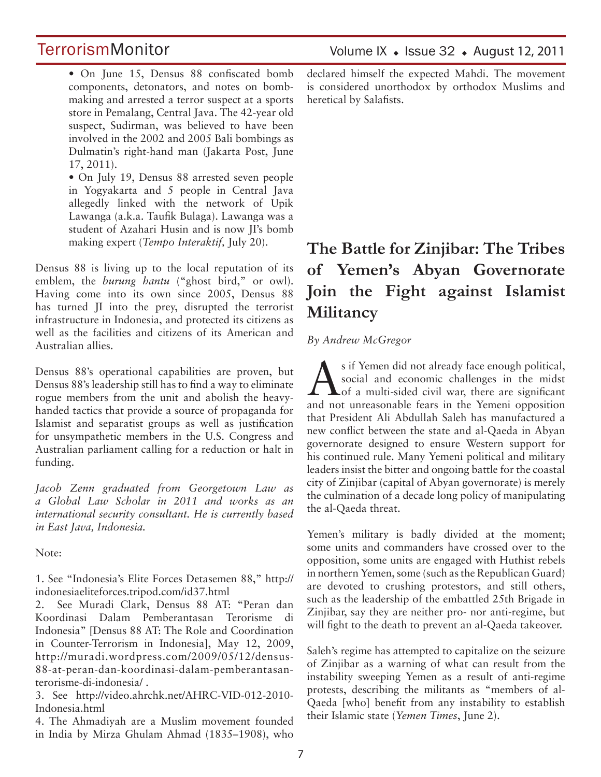### Volume IX  $\bullet$  Issue 32  $\bullet$  August 12, 2011

# **TerrorismMonitor**

• On June 15, Densus 88 confiscated bomb components, detonators, and notes on bombmaking and arrested a terror suspect at a sports store in Pemalang, Central Java. The 42-year old suspect, Sudirman, was believed to have been involved in the 2002 and 2005 Bali bombings as Dulmatin's right-hand man (Jakarta Post, June 17, 2011).

• On July 19, Densus 88 arrested seven people in Yogyakarta and 5 people in Central Java allegedly linked with the network of Upik Lawanga (a.k.a. Taufik Bulaga). Lawanga was a student of Azahari Husin and is now JI's bomb making expert (*Tempo Interaktif,* July 20).

Densus 88 is living up to the local reputation of its emblem, the *burung hantu* ("ghost bird," or owl). Having come into its own since 2005, Densus 88 has turned JI into the prey, disrupted the terrorist infrastructure in Indonesia, and protected its citizens as well as the facilities and citizens of its American and Australian allies.

Densus 88's operational capabilities are proven, but Densus 88's leadership still has to find a way to eliminate rogue members from the unit and abolish the heavyhanded tactics that provide a source of propaganda for Islamist and separatist groups as well as justification for unsympathetic members in the U.S. Congress and Australian parliament calling for a reduction or halt in funding.

*Jacob Zenn graduated from Georgetown Law as a Global Law Scholar in 2011 and works as an international security consultant. He is currently based in East Java, Indonesia.*

Note:

1. See "Indonesia's Elite Forces Detasemen 88," http:// indonesiaeliteforces.tripod.com/id37.html

2. See Muradi Clark, Densus 88 AT: "Peran dan Koordinasi Dalam Pemberantasan Terorisme di Indonesia" [Densus 88 AT: The Role and Coordination in Counter-Terrorism in Indonesia], May 12, 2009, http://muradi.wordpress.com/2009/05/12/densus-88-at-peran-dan-koordinasi-dalam-pemberantasanterorisme-di-indonesia/ .

3. See http://video.ahrchk.net/AHRC-VID-012-2010- Indonesia.html

4. The Ahmadiyah are a Muslim movement founded in India by Mirza Ghulam Ahmad (1835–1908), who declared himself the expected Mahdi. The movement is considered unorthodox by orthodox Muslims and heretical by Salafists.

# **The Battle for Zinjibar: The Tribes of Yemen's Abyan Governorate Join the Fight against Islamist Militancy**

#### *By Andrew McGregor*

Second interval and the already face enough political,<br>social and economic challenges in the midst<br>of a multi-sided civil war, there are significant social and economic challenges in the midst of a multi-sided civil war, there are significant and not unreasonable fears in the Yemeni opposition that President Ali Abdullah Saleh has manufactured a new conflict between the state and al-Qaeda in Abyan governorate designed to ensure Western support for his continued rule. Many Yemeni political and military leaders insist the bitter and ongoing battle for the coastal city of Zinjibar (capital of Abyan governorate) is merely the culmination of a decade long policy of manipulating the al-Qaeda threat.

Yemen's military is badly divided at the moment; some units and commanders have crossed over to the opposition, some units are engaged with Huthist rebels in northern Yemen, some (such as the Republican Guard) are devoted to crushing protestors, and still others, such as the leadership of the embattled 25th Brigade in Zinjibar, say they are neither pro- nor anti-regime, but will fight to the death to prevent an al-Qaeda takeover.

Saleh's regime has attempted to capitalize on the seizure of Zinjibar as a warning of what can result from the instability sweeping Yemen as a result of anti-regime protests, describing the militants as "members of al-Qaeda [who] benefit from any instability to establish their Islamic state (*Yemen Times*, June 2).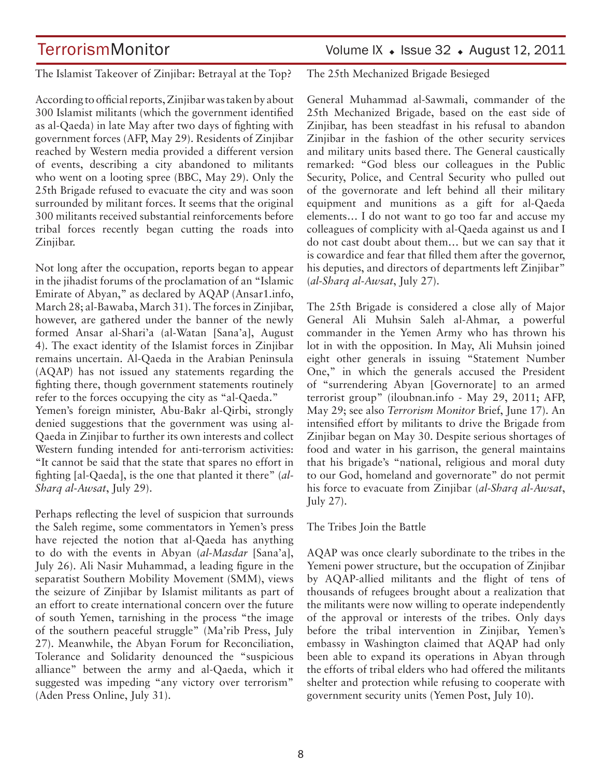The Islamist Takeover of Zinjibar: Betrayal at the Top?

According to official reports, Zinjibar was taken by about 300 Islamist militants (which the government identified as al-Qaeda) in late May after two days of fighting with government forces (AFP, May 29). Residents of Zinjibar reached by Western media provided a different version of events, describing a city abandoned to militants who went on a looting spree (BBC, May 29). Only the 25th Brigade refused to evacuate the city and was soon surrounded by militant forces. It seems that the original 300 militants received substantial reinforcements before tribal forces recently began cutting the roads into Zinjibar.

Not long after the occupation, reports began to appear in the jihadist forums of the proclamation of an "Islamic Emirate of Abyan," as declared by AQAP (Ansar1.info, March 28; al-Bawaba, March 31). The forces in Zinjibar, however, are gathered under the banner of the newly formed Ansar al-Shari'a (al-Watan [Sana'a], August 4). The exact identity of the Islamist forces in Zinjibar remains uncertain. Al-Qaeda in the Arabian Peninsula (AQAP) has not issued any statements regarding the fighting there, though government statements routinely refer to the forces occupying the city as "al-Qaeda." Yemen's foreign minister, Abu-Bakr al-Qirbi, strongly denied suggestions that the government was using al-Qaeda in Zinjibar to further its own interests and collect Western funding intended for anti-terrorism activities: "It cannot be said that the state that spares no effort in fighting [al-Qaeda], is the one that planted it there" (*al-Sharq al-Awsat*, July 29).

Perhaps reflecting the level of suspicion that surrounds the Saleh regime, some commentators in Yemen's press have rejected the notion that al-Qaeda has anything to do with the events in Abyan (*al-Masdar* [Sana'a], July 26). Ali Nasir Muhammad, a leading figure in the separatist Southern Mobility Movement (SMM), views the seizure of Zinjibar by Islamist militants as part of an effort to create international concern over the future of south Yemen, tarnishing in the process "the image of the southern peaceful struggle" (Ma'rib Press, July 27). Meanwhile, the Abyan Forum for Reconciliation, Tolerance and Solidarity denounced the "suspicious alliance" between the army and al-Qaeda, which it suggested was impeding "any victory over terrorism" (Aden Press Online, July 31).

The 25th Mechanized Brigade Besieged

General Muhammad al-Sawmali, commander of the 25th Mechanized Brigade, based on the east side of Zinjibar, has been steadfast in his refusal to abandon Zinjibar in the fashion of the other security services and military units based there. The General caustically remarked: "God bless our colleagues in the Public Security, Police, and Central Security who pulled out of the governorate and left behind all their military equipment and munitions as a gift for al-Qaeda elements… I do not want to go too far and accuse my colleagues of complicity with al-Qaeda against us and I do not cast doubt about them… but we can say that it is cowardice and fear that filled them after the governor, his deputies, and directors of departments left Zinjibar" (*al-Sharq al-Awsat*, July 27).

The 25th Brigade is considered a close ally of Major General Ali Muhsin Saleh al-Ahmar, a powerful commander in the Yemen Army who has thrown his lot in with the opposition. In May, Ali Muhsin joined eight other generals in issuing "Statement Number One," in which the generals accused the President of "surrendering Abyan [Governorate] to an armed terrorist group" (iloubnan.info - May 29, 2011; AFP, May 29; see also *Terrorism Monitor* Brief, June 17). An intensified effort by militants to drive the Brigade from Zinjibar began on May 30. Despite serious shortages of food and water in his garrison, the general maintains that his brigade's "national, religious and moral duty to our God, homeland and governorate" do not permit his force to evacuate from Zinjibar (*al-Sharq al-Awsat*, July 27).

The Tribes Join the Battle

AQAP was once clearly subordinate to the tribes in the Yemeni power structure, but the occupation of Zinjibar by AQAP-allied militants and the flight of tens of thousands of refugees brought about a realization that the militants were now willing to operate independently of the approval or interests of the tribes. Only days before the tribal intervention in Zinjibar, Yemen's embassy in Washington claimed that AQAP had only been able to expand its operations in Abyan through the efforts of tribal elders who had offered the militants shelter and protection while refusing to cooperate with government security units (Yemen Post, July 10).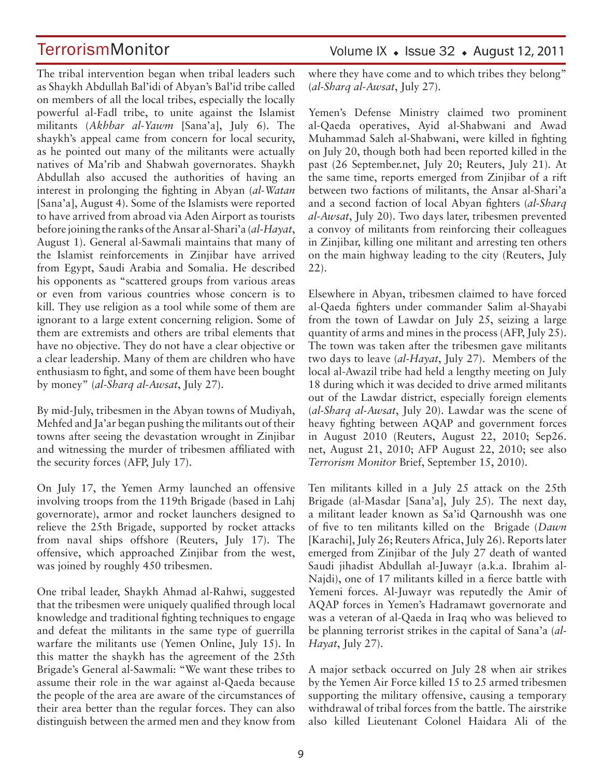The tribal intervention began when tribal leaders such as Shaykh Abdullah Bal'idi of Abyan's Bal'id tribe called on members of all the local tribes, especially the locally powerful al-Fadl tribe, to unite against the Islamist militants (*Akhbar al-Yawm* [Sana'a], July 6). The shaykh's appeal came from concern for local security, as he pointed out many of the militants were actually natives of Ma'rib and Shabwah governorates. Shaykh Abdullah also accused the authorities of having an interest in prolonging the fighting in Abyan (*al-Watan*  [Sana'a], August 4). Some of the Islamists were reported to have arrived from abroad via Aden Airport as tourists before joining the ranks of the Ansar al-Shari'a (*al-Hayat*, August 1). General al-Sawmali maintains that many of the Islamist reinforcements in Zinjibar have arrived from Egypt, Saudi Arabia and Somalia. He described his opponents as "scattered groups from various areas or even from various countries whose concern is to kill. They use religion as a tool while some of them are ignorant to a large extent concerning religion. Some of them are extremists and others are tribal elements that have no objective. They do not have a clear objective or a clear leadership. Many of them are children who have enthusiasm to fight, and some of them have been bought by money" (*al-Sharq al-Awsat*, July 27).

By mid-July, tribesmen in the Abyan towns of Mudiyah, Mehfed and Ja'ar began pushing the militants out of their towns after seeing the devastation wrought in Zinjibar and witnessing the murder of tribesmen affiliated with the security forces (AFP, July 17).

On July 17, the Yemen Army launched an offensive involving troops from the 119th Brigade (based in Lahj governorate), armor and rocket launchers designed to relieve the 25th Brigade, supported by rocket attacks from naval ships offshore (Reuters, July 17). The offensive, which approached Zinjibar from the west, was joined by roughly 450 tribesmen.

One tribal leader, Shaykh Ahmad al-Rahwi, suggested that the tribesmen were uniquely qualified through local knowledge and traditional fighting techniques to engage and defeat the militants in the same type of guerrilla warfare the militants use (Yemen Online, July 15). In this matter the shaykh has the agreement of the 25th Brigade's General al-Sawmali: "We want these tribes to assume their role in the war against al-Qaeda because the people of the area are aware of the circumstances of their area better than the regular forces. They can also distinguish between the armed men and they know from Volume IX  $\bullet$  Issue 32  $\bullet$  August 12, 2011

where they have come and to which tribes they belong" (*al-Sharq al-Awsat*, July 27).

Yemen's Defense Ministry claimed two prominent al-Qaeda operatives, Ayid al-Shabwani and Awad Muhammad Saleh al-Shabwani, were killed in fighting on July 20, though both had been reported killed in the past (26 September.net, July 20; Reuters, July 21). At the same time, reports emerged from Zinjibar of a rift between two factions of militants, the Ansar al-Shari'a and a second faction of local Abyan fighters (*al-Sharq al-Awsat*, July 20). Two days later, tribesmen prevented a convoy of militants from reinforcing their colleagues in Zinjibar, killing one militant and arresting ten others on the main highway leading to the city (Reuters, July 22).

Elsewhere in Abyan, tribesmen claimed to have forced al-Qaeda fighters under commander Salim al-Shayabi from the town of Lawdar on July 25, seizing a large quantity of arms and mines in the process (AFP, July 25). The town was taken after the tribesmen gave militants two days to leave (*al-Hayat*, July 27). Members of the local al-Awazil tribe had held a lengthy meeting on July 18 during which it was decided to drive armed militants out of the Lawdar district, especially foreign elements (*al-Sharq al-Awsat*, July 20). Lawdar was the scene of heavy fighting between AQAP and government forces in August 2010 (Reuters, August 22, 2010; Sep26. net, August 21, 2010; AFP August 22, 2010; see also *Terrorism Monitor* Brief, September 15, 2010).

Ten militants killed in a July 25 attack on the 25th Brigade (al-Masdar [Sana'a], July 25). The next day, a militant leader known as Sa'id Qarnoushh was one of five to ten militants killed on the Brigade (*Dawn* [Karachi], July 26; Reuters Africa, July 26). Reports later emerged from Zinjibar of the July 27 death of wanted Saudi jihadist Abdullah al-Juwayr (a.k.a. Ibrahim al-Najdi), one of 17 militants killed in a fierce battle with Yemeni forces. Al-Juwayr was reputedly the Amir of AQAP forces in Yemen's Hadramawt governorate and was a veteran of al-Qaeda in Iraq who was believed to be planning terrorist strikes in the capital of Sana'a (*al-Hayat*, July 27).

A major setback occurred on July 28 when air strikes by the Yemen Air Force killed 15 to 25 armed tribesmen supporting the military offensive, causing a temporary withdrawal of tribal forces from the battle. The airstrike also killed Lieutenant Colonel Haidara Ali of the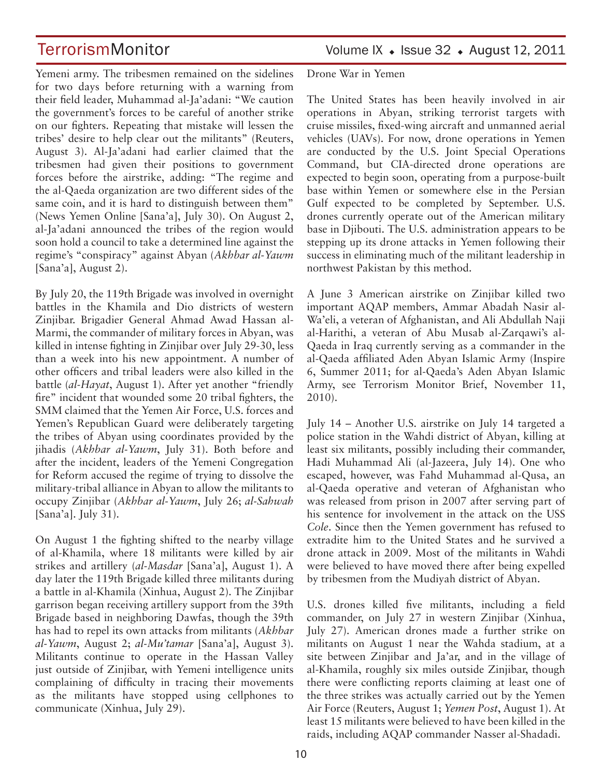Yemeni army. The tribesmen remained on the sidelines for two days before returning with a warning from their field leader, Muhammad al-Ja'adani: "We caution the government's forces to be careful of another strike on our fighters. Repeating that mistake will lessen the tribes' desire to help clear out the militants" (Reuters, August 3). Al-Ja'adani had earlier claimed that the tribesmen had given their positions to government forces before the airstrike, adding: "The regime and the al-Qaeda organization are two different sides of the same coin, and it is hard to distinguish between them" (News Yemen Online [Sana'a], July 30). On August 2, al-Ja'adani announced the tribes of the region would soon hold a council to take a determined line against the regime's "conspiracy" against Abyan (*Akhbar al-Yawm* [Sana'a], August 2).

By July 20, the 119th Brigade was involved in overnight battles in the Khamila and Dio districts of western Zinjibar. Brigadier General Ahmad Awad Hassan al-Marmi, the commander of military forces in Abyan, was killed in intense fighting in Zinjibar over July 29-30, less than a week into his new appointment. A number of other officers and tribal leaders were also killed in the battle (*al-Hayat*, August 1). After yet another "friendly fire" incident that wounded some 20 tribal fighters, the SMM claimed that the Yemen Air Force, U.S. forces and Yemen's Republican Guard were deliberately targeting the tribes of Abyan using coordinates provided by the jihadis (*Akhbar al-Yawm*, July 31). Both before and after the incident, leaders of the Yemeni Congregation for Reform accused the regime of trying to dissolve the military-tribal alliance in Abyan to allow the militants to occupy Zinjibar (*Akhbar al-Yawm*, July 26; *al-Sahwah*  [Sana'a]. July 31).

On August 1 the fighting shifted to the nearby village of al-Khamila, where 18 militants were killed by air strikes and artillery (*al-Masdar* [Sana'a], August 1). A day later the 119th Brigade killed three militants during a battle in al-Khamila (Xinhua, August 2). The Zinjibar garrison began receiving artillery support from the 39th Brigade based in neighboring Dawfas, though the 39th has had to repel its own attacks from militants (*Akhbar al-Yawm*, August 2; *al-Mu'tamar* [Sana'a], August 3). Militants continue to operate in the Hassan Valley just outside of Zinjibar, with Yemeni intelligence units complaining of difficulty in tracing their movements as the militants have stopped using cellphones to communicate (Xinhua, July 29).

TerrorismMonitor Volume IX + Issue 32 + August 12, 2011

Drone War in Yemen

The United States has been heavily involved in air operations in Abyan, striking terrorist targets with cruise missiles, fixed-wing aircraft and unmanned aerial vehicles (UAVs). For now, drone operations in Yemen are conducted by the U.S. Joint Special Operations Command, but CIA-directed drone operations are expected to begin soon, operating from a purpose-built base within Yemen or somewhere else in the Persian Gulf expected to be completed by September. U.S. drones currently operate out of the American military base in Djibouti. The U.S. administration appears to be stepping up its drone attacks in Yemen following their success in eliminating much of the militant leadership in northwest Pakistan by this method.

A June 3 American airstrike on Zinjibar killed two important AQAP members, Ammar Abadah Nasir al-Wa'eli, a veteran of Afghanistan, and Ali Abdullah Naji al-Harithi, a veteran of Abu Musab al-Zarqawi's al-Qaeda in Iraq currently serving as a commander in the al-Qaeda affiliated Aden Abyan Islamic Army (Inspire 6, Summer 2011; for al-Qaeda's Aden Abyan Islamic Army, see Terrorism Monitor Brief, November 11, 2010).

July 14 – Another U.S. airstrike on July 14 targeted a police station in the Wahdi district of Abyan, killing at least six militants, possibly including their commander, Hadi Muhammad Ali (al-Jazeera, July 14). One who escaped, however, was Fahd Muhammad al-Qusa, an al-Qaeda operative and veteran of Afghanistan who was released from prison in 2007 after serving part of his sentence for involvement in the attack on the USS *Cole*. Since then the Yemen government has refused to extradite him to the United States and he survived a drone attack in 2009. Most of the militants in Wahdi were believed to have moved there after being expelled by tribesmen from the Mudiyah district of Abyan.

U.S. drones killed five militants, including a field commander, on July 27 in western Zinjibar (Xinhua, July 27). American drones made a further strike on militants on August 1 near the Wahda stadium, at a site between Zinjibar and Ja'ar, and in the village of al-Khamila, roughly six miles outside Zinjibar, though there were conflicting reports claiming at least one of the three strikes was actually carried out by the Yemen Air Force (Reuters, August 1; *Yemen Post*, August 1). At least 15 militants were believed to have been killed in the raids, including AQAP commander Nasser al-Shadadi.